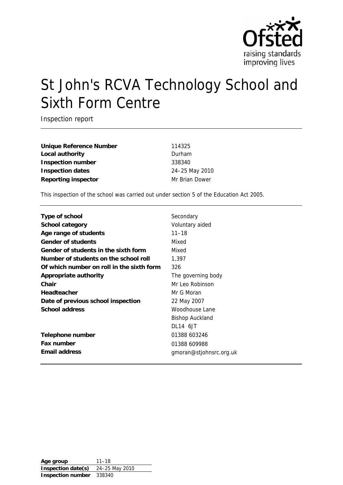

# St John's RCVA Technology School and Sixth Form Centre

Inspection report

**Unique Reference Number** 114325 **Local authority** Durham **Inspection number** 338340 **Inspection dates** 24–25 May 2010 **Reporting inspector** Mr Brian Dower

This inspection of the school was carried out under section 5 of the Education Act 2005.

| Type of school                            | Secondary               |
|-------------------------------------------|-------------------------|
| <b>School category</b>                    | Voluntary aided         |
| Age range of students                     | $11 - 18$               |
| <b>Gender of students</b>                 | Mixed                   |
| Gender of students in the sixth form      | Mixed                   |
| Number of students on the school roll     | 1,397                   |
| Of which number on roll in the sixth form | 326                     |
| <b>Appropriate authority</b>              | The governing body      |
| Chair                                     | Mr Leo Robinson         |
| <b>Headteacher</b>                        | Mr G Moran              |
| Date of previous school inspection        | 22 May 2007             |
| <b>School address</b>                     | Woodhouse Lane          |
|                                           | <b>Bishop Auckland</b>  |
|                                           | DL14 6JT                |
| Telephone number                          | 01388 603246            |
| <b>Fax number</b>                         | 01388 609988            |
| <b>Email address</b>                      | gmoran@stjohnsrc.org.uk |
|                                           |                         |

**Age group** 11–18 **Inspection date(s)** 24–25 May 2010 **Inspection number** 338340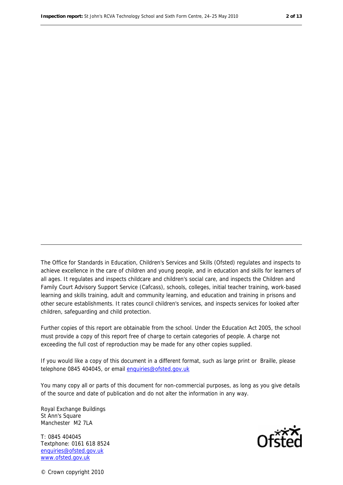The Office for Standards in Education, Children's Services and Skills (Ofsted) regulates and inspects to achieve excellence in the care of children and young people, and in education and skills for learners of all ages. It regulates and inspects childcare and children's social care, and inspects the Children and Family Court Advisory Support Service (Cafcass), schools, colleges, initial teacher training, work-based learning and skills training, adult and community learning, and education and training in prisons and other secure establishments. It rates council children's services, and inspects services for looked after children, safeguarding and child protection.

Further copies of this report are obtainable from the school. Under the Education Act 2005, the school must provide a copy of this report free of charge to certain categories of people. A charge not exceeding the full cost of reproduction may be made for any other copies supplied.

If you would like a copy of this document in a different format, such as large print or Braille, please telephone 0845 404045, or email enquiries@ofsted.gov.uk

You many copy all or parts of this document for non-commercial purposes, as long as you give details of the source and date of publication and do not alter the information in any way.

Royal Exchange Buildings St Ann's Square Manchester M2 7LA

T: 0845 404045 Textphone: 0161 618 8524 enquiries@ofsted.gov.uk www.ofsted.gov.uk



© Crown copyright 2010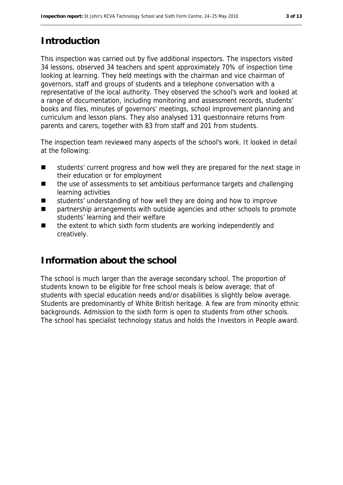# **Introduction**

This inspection was carried out by five additional inspectors. The inspectors visited 34 lessons, observed 34 teachers and spent approximately 70% of inspection time looking at learning. They held meetings with the chairman and vice chairman of governors, staff and groups of students and a telephone conversation with a representative of the local authority. They observed the school's work and looked at a range of documentation, including monitoring and assessment records, students' books and files, minutes of governors' meetings, school improvement planning and curriculum and lesson plans. They also analysed 131 questionnaire returns from parents and carers, together with 83 from staff and 201 from students.

The inspection team reviewed many aspects of the school's work. It looked in detail at the following:

- students' current progress and how well they are prepared for the next stage in their education or for employment
- the use of assessments to set ambitious performance targets and challenging learning activities
- students' understanding of how well they are doing and how to improve
- partnership arrangements with outside agencies and other schools to promote students' learning and their welfare
- the extent to which sixth form students are working independently and creatively.

# **Information about the school**

The school is much larger than the average secondary school. The proportion of students known to be eligible for free school meals is below average; that of students with special education needs and/or disabilities is slightly below average. Students are predominantly of White British heritage. A few are from minority ethnic backgrounds. Admission to the sixth form is open to students from other schools. The school has specialist technology status and holds the Investors in People award.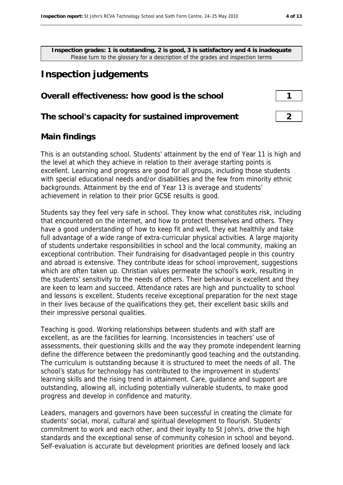**Inspection grades: 1 is outstanding, 2 is good, 3 is satisfactory and 4 is inadequate** Please turn to the glossary for a description of the grades and inspection terms

# **Inspection judgements**

### **Overall effectiveness: how good is the school 1**

#### **The school's capacity for sustained improvement 2**

## **Main findings**

This is an outstanding school. Students' attainment by the end of Year 11 is high and the level at which they achieve in relation to their average starting points is excellent. Learning and progress are good for all groups, including those students with special educational needs and/or disabilities and the few from minority ethnic backgrounds. Attainment by the end of Year 13 is average and students' achievement in relation to their prior GCSE results is good.

Students say they feel very safe in school. They know what constitutes risk, including that encountered on the internet, and how to protect themselves and others. They have a good understanding of how to keep fit and well, they eat healthily and take full advantage of a wide range of extra-curricular physical activities. A large majority of students undertake responsibilities in school and the local community, making an exceptional contribution. Their fundraising for disadvantaged people in this country and abroad is extensive. They contribute ideas for school improvement, suggestions which are often taken up. Christian values permeate the school's work, resulting in the students' sensitivity to the needs of others. Their behaviour is excellent and they are keen to learn and succeed. Attendance rates are high and punctuality to school and lessons is excellent. Students receive exceptional preparation for the next stage in their lives because of the qualifications they get, their excellent basic skills and their impressive personal qualities.

Teaching is good. Working relationships between students and with staff are excellent, as are the facilities for learning. Inconsistencies in teachers' use of assessments, their questioning skills and the way they promote independent learning define the difference between the predominantly good teaching and the outstanding. The curriculum is outstanding because it is structured to meet the needs of all. The school's status for technology has contributed to the improvement in students' learning skills and the rising trend in attainment. Care, guidance and support are outstanding, allowing all, including potentially vulnerable students, to make good progress and develop in confidence and maturity.

Leaders, managers and governors have been successful in creating the climate for students' social, moral, cultural and spiritual development to flourish. Students' commitment to work and each other, and their loyalty to St John's, drive the high standards and the exceptional sense of community cohesion in school and beyond. Self-evaluation is accurate but development priorities are defined loosely and lack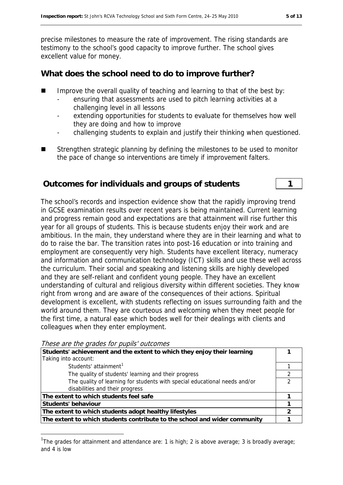precise milestones to measure the rate of improvement. The rising standards are testimony to the school's good capacity to improve further. The school gives excellent value for money.

# **What does the school need to do to improve further?**

- Improve the overall quality of teaching and learning to that of the best by:
	- ensuring that assessments are used to pitch learning activities at a challenging level in all lessons
	- extending opportunities for students to evaluate for themselves how well they are doing and how to improve
	- challenging students to explain and justify their thinking when questioned.
- Strengthen strategic planning by defining the milestones to be used to monitor the pace of change so interventions are timely if improvement falters.

## **Outcomes for individuals and groups of students 1**

The school's records and inspection evidence show that the rapidly improving trend in GCSE examination results over recent years is being maintained. Current learning and progress remain good and expectations are that attainment will rise further this year for all groups of students. This is because students enjoy their work and are ambitious. In the main, they understand where they are in their learning and what to do to raise the bar. The transition rates into post-16 education or into training and employment are consequently very high. Students have excellent literacy, numeracy and information and communication technology (ICT) skills and use these well across the curriculum. Their social and speaking and listening skills are highly developed and they are self-reliant and confident young people. They have an excellent understanding of cultural and religious diversity within different societies. They know right from wrong and are aware of the consequences of their actions. Spiritual development is excellent, with students reflecting on issues surrounding faith and the world around them. They are courteous and welcoming when they meet people for the first time, a natural ease which bodes well for their dealings with clients and colleagues when they enter employment.

```
These are the grades for pupils' outcomes
```
1

| Students' achievement and the extent to which they enjoy their learning    |   |
|----------------------------------------------------------------------------|---|
| Taking into account:                                                       |   |
| Students' attainment <sup>1</sup>                                          |   |
| The quality of students' learning and their progress                       |   |
| The quality of learning for students with special educational needs and/or | ◠ |
| disabilities and their progress                                            |   |
| The extent to which students feel safe                                     |   |
| Students' behaviour                                                        |   |
| The extent to which students adopt healthy lifestyles                      |   |
| The extent to which students contribute to the school and wider community  |   |

<span id="page-4-0"></span><sup>&</sup>lt;sup>1</sup>The grades for attainment and attendance are: 1 is high; 2 is above average; 3 is broadly average; and 4 is low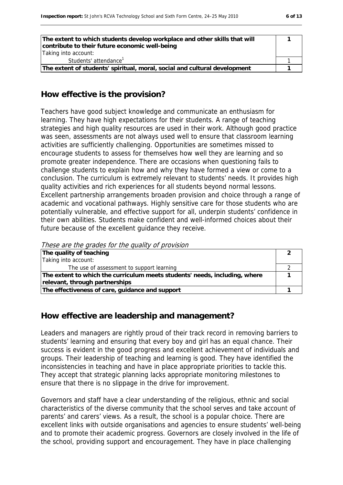| The extent to which students develop workplace and other skills that will<br>contribute to their future economic well-being<br>Taking into account: |  |
|-----------------------------------------------------------------------------------------------------------------------------------------------------|--|
| Students' attendance <sup>1</sup>                                                                                                                   |  |
| The extent of students' spiritual, moral, social and cultural development                                                                           |  |

### **How effective is the provision?**

Teachers have good subject knowledge and communicate an enthusiasm for learning. They have high expectations for their students. A range of teaching strategies and high quality resources are used in their work. Although good practice was seen, assessments are not always used well to ensure that classroom learning activities are sufficiently challenging. Opportunities are sometimes missed to encourage students to assess for themselves how well they are learning and so promote greater independence. There are occasions when questioning fails to challenge students to explain how and why they have formed a view or come to a conclusion. The curriculum is extremely relevant to students' needs. It provides high quality activities and rich experiences for all students beyond normal lessons. Excellent partnership arrangements broaden provision and choice through a range of academic and vocational pathways. Highly sensitive care for those students who are potentially vulnerable, and effective support for all, underpin students' confidence in their own abilities. Students make confident and well-informed choices about their future because of the excellent guidance they receive.

These are the grades for the quality of provision

| The quality of teaching                                                    |  |
|----------------------------------------------------------------------------|--|
| Taking into account:                                                       |  |
| The use of assessment to support learning                                  |  |
| The extent to which the curriculum meets students' needs, including, where |  |
| relevant, through partnerships                                             |  |
| The effectiveness of care, guidance and support                            |  |

#### **How effective are leadership and management?**

Leaders and managers are rightly proud of their track record in removing barriers to students' learning and ensuring that every boy and girl has an equal chance. Their success is evident in the good progress and excellent achievement of individuals and groups. Their leadership of teaching and learning is good. They have identified the inconsistencies in teaching and have in place appropriate priorities to tackle this. They accept that strategic planning lacks appropriate monitoring milestones to ensure that there is no slippage in the drive for improvement.

Governors and staff have a clear understanding of the religious, ethnic and social characteristics of the diverse community that the school serves and take account of parents' and carers' views. As a result, the school is a popular choice. There are excellent links with outside organisations and agencies to ensure students' well-being and to promote their academic progress. Governors are closely involved in the life of the school, providing support and encouragement. They have in place challenging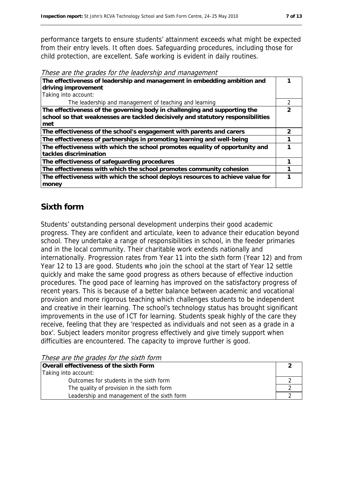performance targets to ensure students' attainment exceeds what might be expected from their entry levels. It often does. Safeguarding procedures, including those for child protection, are excellent. Safe working is evident in daily routines.

These are the grades for the leadership and management

| The effectiveness of leadership and management in embedding ambition and                                                                                            |   |
|---------------------------------------------------------------------------------------------------------------------------------------------------------------------|---|
| driving improvement                                                                                                                                                 |   |
| Taking into account:                                                                                                                                                |   |
| The leadership and management of teaching and learning                                                                                                              | 2 |
| The effectiveness of the governing body in challenging and supporting the<br>school so that weaknesses are tackled decisively and statutory responsibilities<br>met |   |
| The effectiveness of the school's engagement with parents and carers                                                                                                | 2 |
| The effectiveness of partnerships in promoting learning and well-being                                                                                              |   |
| The effectiveness with which the school promotes equality of opportunity and<br>tackles discrimination                                                              |   |
| The effectiveness of safeguarding procedures                                                                                                                        |   |
| The effectiveness with which the school promotes community cohesion                                                                                                 |   |
| The effectiveness with which the school deploys resources to achieve value for<br>money                                                                             |   |

## **Sixth form**

Students' outstanding personal development underpins their good academic progress. They are confident and articulate, keen to advance their education beyond school. They undertake a range of responsibilities in school, in the feeder primaries and in the local community. Their charitable work extends nationally and internationally. Progression rates from Year 11 into the sixth form (Year 12) and from Year 12 to 13 are good. Students who join the school at the start of Year 12 settle quickly and make the same good progress as others because of effective induction procedures. The good pace of learning has improved on the satisfactory progress of recent years. This is because of a better balance between academic and vocational provision and more rigorous teaching which challenges students to be independent and creative in their learning. The school's technology status has brought significant improvements in the use of ICT for learning. Students speak highly of the care they receive, feeling that they are 'respected as individuals and not seen as a grade in a box'. Subject leaders monitor progress effectively and give timely support when difficulties are encountered. The capacity to improve further is good.

These are the grades for the sixth form

| Overall effectiveness of the sixth Form     |  |  |
|---------------------------------------------|--|--|
| Taking into account:                        |  |  |
| Outcomes for students in the sixth form     |  |  |
| The quality of provision in the sixth form  |  |  |
| Leadership and management of the sixth form |  |  |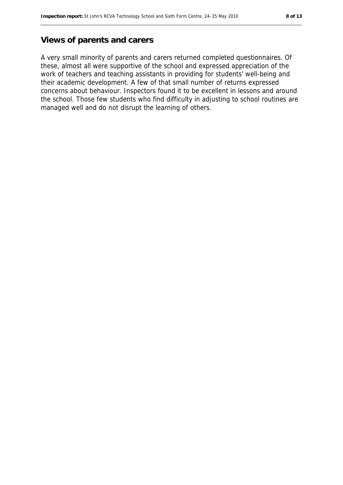### **Views of parents and carers**

A very small minority of parents and carers returned completed questionnaires. Of these, almost all were supportive of the school and expressed appreciation of the work of teachers and teaching assistants in providing for students' well-being and their academic development. A few of that small number of returns expressed concerns about behaviour. Inspectors found it to be excellent in lessons and around the school. Those few students who find difficulty in adjusting to school routines are managed well and do not disrupt the learning of others.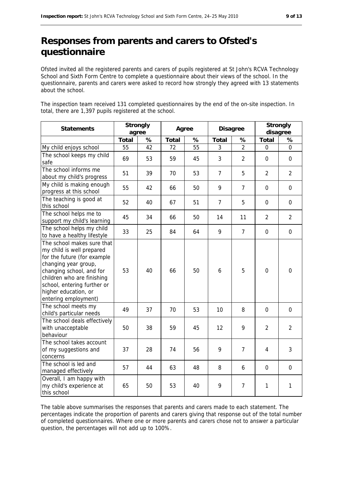# **Responses from parents and carers to Ofsted's questionnaire**

Ofsted invited all the registered parents and carers of pupils registered at St John's RCVA Technology School and Sixth Form Centre to complete a questionnaire about their views of the school. In the questionnaire, parents and carers were asked to record how strongly they agreed with 13 statements about the school.

The inspection team received 131 completed questionnaires by the end of the on-site inspection. In total, there are 1,397 pupils registered at the school.

| <b>Statements</b>                                                                                                                                                                                                                                       | <b>Strongly</b><br>agree |    | Agree        |    | <b>Disagree</b> |                | <b>Strongly</b><br>disagree |                  |
|---------------------------------------------------------------------------------------------------------------------------------------------------------------------------------------------------------------------------------------------------------|--------------------------|----|--------------|----|-----------------|----------------|-----------------------------|------------------|
|                                                                                                                                                                                                                                                         | <b>Total</b>             | %  | <b>Total</b> | %  | <b>Total</b>    | %              | <b>Total</b>                | %                |
| My child enjoys school                                                                                                                                                                                                                                  | 55                       | 42 | 72           | 55 | 3               | $\overline{2}$ | 0                           | 0                |
| The school keeps my child<br>safe                                                                                                                                                                                                                       | 69                       | 53 | 59           | 45 | 3               | $\overline{2}$ | $\mathbf 0$                 | $\mathbf 0$      |
| The school informs me<br>about my child's progress                                                                                                                                                                                                      | 51                       | 39 | 70           | 53 | $\overline{7}$  | 5              | $\overline{2}$              | $\overline{2}$   |
| My child is making enough<br>progress at this school                                                                                                                                                                                                    | 55                       | 42 | 66           | 50 | 9               | $\overline{7}$ | $\overline{0}$              | $\mathbf 0$      |
| The teaching is good at<br>this school                                                                                                                                                                                                                  | 52                       | 40 | 67           | 51 | $\overline{7}$  | 5              | 0                           | $\mathbf 0$      |
| The school helps me to<br>support my child's learning                                                                                                                                                                                                   | 45                       | 34 | 66           | 50 | 14              | 11             | $\overline{2}$              | $\overline{2}$   |
| The school helps my child<br>to have a healthy lifestyle                                                                                                                                                                                                | 33                       | 25 | 84           | 64 | 9               | $\overline{7}$ | $\boldsymbol{0}$            | $\boldsymbol{0}$ |
| The school makes sure that<br>my child is well prepared<br>for the future (for example<br>changing year group,<br>changing school, and for<br>children who are finishing<br>school, entering further or<br>higher education, or<br>entering employment) | 53                       | 40 | 66           | 50 | 6               | 5              | $\overline{0}$              | $\overline{0}$   |
| The school meets my<br>child's particular needs                                                                                                                                                                                                         | 49                       | 37 | 70           | 53 | 10              | 8              | 0                           | $\mathbf 0$      |
| The school deals effectively<br>with unacceptable<br>behaviour                                                                                                                                                                                          | 50                       | 38 | 59           | 45 | 12              | 9              | $\overline{2}$              | $\overline{2}$   |
| The school takes account<br>of my suggestions and<br>concerns                                                                                                                                                                                           | 37                       | 28 | 74           | 56 | 9               | $\overline{7}$ | 4                           | 3                |
| The school is led and<br>managed effectively                                                                                                                                                                                                            | 57                       | 44 | 63           | 48 | 8               | 6              | 0                           | $\mathbf 0$      |
| Overall, I am happy with<br>my child's experience at<br>this school                                                                                                                                                                                     | 65                       | 50 | 53           | 40 | 9               | $\overline{7}$ | 1                           | 1                |

The table above summarises the responses that parents and carers made to each statement. The percentages indicate the proportion of parents and carers giving that response out of the total number of completed questionnaires. Where one or more parents and carers chose not to answer a particular question, the percentages will not add up to 100%.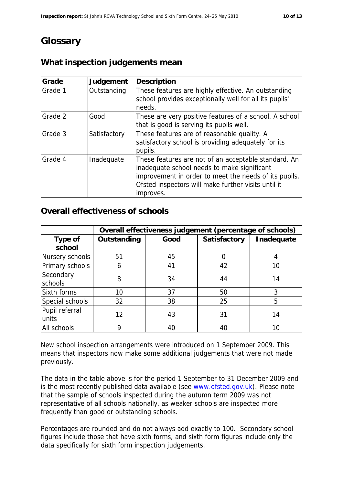# **Glossary**

# **What inspection judgements mean**

| Grade   | Judgement    | <b>Description</b>                                                                                                                                                                                                               |
|---------|--------------|----------------------------------------------------------------------------------------------------------------------------------------------------------------------------------------------------------------------------------|
| Grade 1 | Outstanding  | These features are highly effective. An outstanding<br>school provides exceptionally well for all its pupils'<br>needs.                                                                                                          |
| Grade 2 | Good         | These are very positive features of a school. A school<br>that is good is serving its pupils well.                                                                                                                               |
| Grade 3 | Satisfactory | These features are of reasonable quality. A<br>satisfactory school is providing adequately for its<br>pupils.                                                                                                                    |
| Grade 4 | Inadequate   | These features are not of an acceptable standard. An<br>inadequate school needs to make significant<br>improvement in order to meet the needs of its pupils.<br>Ofsted inspectors will make further visits until it<br>improves. |

## **Overall effectiveness of schools**

|                          | Overall effectiveness judgement (percentage of schools) |      |                     |            |
|--------------------------|---------------------------------------------------------|------|---------------------|------------|
| <b>Type of</b><br>school | Outstanding                                             | Good | <b>Satisfactory</b> | Inadequate |
| Nursery schools          | 51                                                      | 45   | 0                   |            |
| Primary schools          | 6                                                       | 41   | 42                  | 10         |
| Secondary<br>schools     | 8                                                       | 34   | 44                  | 14         |
| Sixth forms              | 10                                                      | 37   | 50                  | 3          |
| Special schools          | 32                                                      | 38   | 25                  | 5          |
| Pupil referral<br>units  | 12                                                      | 43   | 31                  | 14         |
| All schools              | Q                                                       | 40   | 40                  | 10         |

New school inspection arrangements were introduced on 1 September 2009. This means that inspectors now make some additional judgements that were not made previously.

The data in the table above is for the period 1 September to 31 December 2009 and is the most recently published data available (see [www.ofsted.gov.uk](http://www.ofsted.gov.uk/)). Please note that the sample of schools inspected during the autumn term 2009 was not representative of all schools nationally, as weaker schools are inspected more frequently than good or outstanding schools.

Percentages are rounded and do not always add exactly to 100. Secondary school figures include those that have sixth forms, and sixth form figures include only the data specifically for sixth form inspection judgements.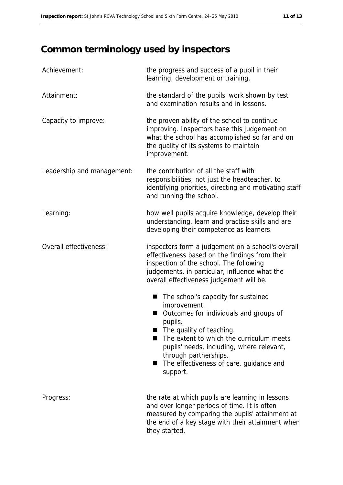# **Common terminology used by inspectors**

| Achievement:               | the progress and success of a pupil in their<br>learning, development or training.                                                                                                                                                                                                                                           |
|----------------------------|------------------------------------------------------------------------------------------------------------------------------------------------------------------------------------------------------------------------------------------------------------------------------------------------------------------------------|
| Attainment:                | the standard of the pupils' work shown by test<br>and examination results and in lessons.                                                                                                                                                                                                                                    |
| Capacity to improve:       | the proven ability of the school to continue<br>improving. Inspectors base this judgement on<br>what the school has accomplished so far and on<br>the quality of its systems to maintain<br>improvement.                                                                                                                     |
| Leadership and management: | the contribution of all the staff with<br>responsibilities, not just the headteacher, to<br>identifying priorities, directing and motivating staff<br>and running the school.                                                                                                                                                |
| Learning:                  | how well pupils acquire knowledge, develop their<br>understanding, learn and practise skills and are<br>developing their competence as learners.                                                                                                                                                                             |
| Overall effectiveness:     | inspectors form a judgement on a school's overall<br>effectiveness based on the findings from their<br>inspection of the school. The following<br>judgements, in particular, influence what the<br>overall effectiveness judgement will be.                                                                                  |
|                            | The school's capacity for sustained<br>■<br>improvement.<br>Outcomes for individuals and groups of<br>ш<br>pupils.<br>The quality of teaching.<br>The extent to which the curriculum meets<br>pupils' needs, including, where relevant,<br>through partnerships.<br>The effectiveness of care, guidance and<br>■<br>support. |
| Progress:                  | the rate at which pupils are learning in lessons<br>and over longer periods of time. It is often<br>measured by comparing the pupils' attainment at<br>the end of a key stage with their attainment when<br>they started.                                                                                                    |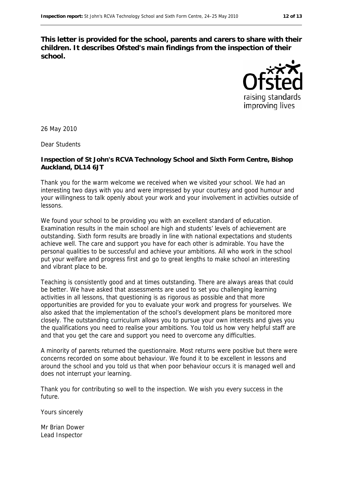**This letter is provided for the school, parents and carers to share with their children. It describes Ofsted's main findings from the inspection of their school.**



26 May 2010

Dear Students

#### **Inspection of St John's RCVA Technology School and Sixth Form Centre, Bishop Auckland, DL14 6JT**

Thank you for the warm welcome we received when we visited your school. We had an interesting two days with you and were impressed by your courtesy and good humour and your willingness to talk openly about your work and your involvement in activities outside of lessons.

We found your school to be providing you with an excellent standard of education. Examination results in the main school are high and students' levels of achievement are outstanding. Sixth form results are broadly in line with national expectations and students achieve well. The care and support you have for each other is admirable. You have the personal qualities to be successful and achieve your ambitions. All who work in the school put your welfare and progress first and go to great lengths to make school an interesting and vibrant place to be.

Teaching is consistently good and at times outstanding. There are always areas that could be better. We have asked that assessments are used to set you challenging learning activities in all lessons, that questioning is as rigorous as possible and that more opportunities are provided for you to evaluate your work and progress for yourselves. We also asked that the implementation of the school's development plans be monitored more closely. The outstanding curriculum allows you to pursue your own interests and gives you the qualifications you need to realise your ambitions. You told us how very helpful staff are and that you get the care and support you need to overcome any difficulties.

A minority of parents returned the questionnaire. Most returns were positive but there were concerns recorded on some about behaviour. We found it to be excellent in lessons and around the school and you told us that when poor behaviour occurs it is managed well and does not interrupt your learning.

Thank you for contributing so well to the inspection. We wish you every success in the future.

Yours sincerely

Mr Brian Dower Lead Inspector